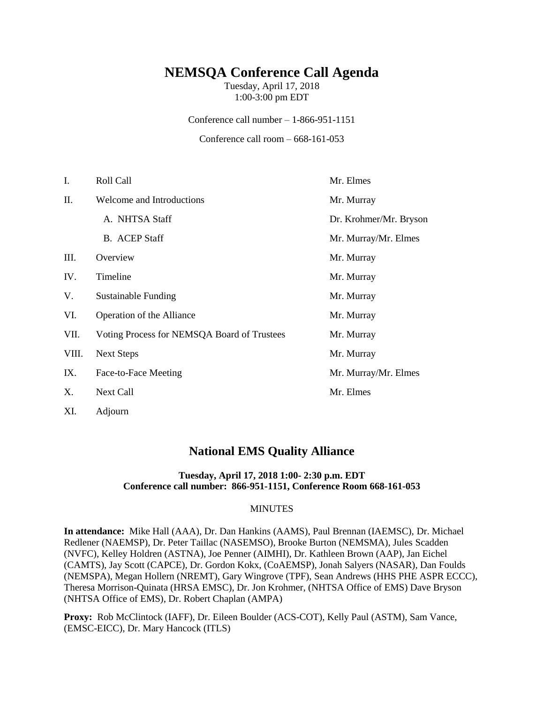# **NEMSQA Conference Call Agenda**

Tuesday, April 17, 2018 1:00-3:00 pm EDT

Conference call number – 1-866-951-1151

Conference call room – 668-161-053

| I.    | Roll Call                                   | Mr. Elmes              |
|-------|---------------------------------------------|------------------------|
| П.    | Welcome and Introductions                   | Mr. Murray             |
|       | A. NHTSA Staff                              | Dr. Krohmer/Mr. Bryson |
|       | <b>B.</b> ACEP Staff                        | Mr. Murray/Mr. Elmes   |
| Ш.    | Overview                                    | Mr. Murray             |
| IV.   | Timeline                                    | Mr. Murray             |
| V.    | <b>Sustainable Funding</b>                  | Mr. Murray             |
| VI.   | Operation of the Alliance                   | Mr. Murray             |
| VII.  | Voting Process for NEMSQA Board of Trustees | Mr. Murray             |
| VIII. | <b>Next Steps</b>                           | Mr. Murray             |
| IX.   | Face-to-Face Meeting                        | Mr. Murray/Mr. Elmes   |
| Χ.    | Next Call                                   | Mr. Elmes              |
| XI.   | Adjourn                                     |                        |

## **National EMS Quality Alliance**

#### **Tuesday, April 17, 2018 1:00- 2:30 p.m. EDT Conference call number: 866-951-1151, Conference Room 668-161-053**

#### **MINUTES**

**In attendance:** Mike Hall (AAA), Dr. Dan Hankins (AAMS), Paul Brennan (IAEMSC), Dr. Michael Redlener (NAEMSP), Dr. Peter Taillac (NASEMSO), Brooke Burton (NEMSMA), Jules Scadden (NVFC), Kelley Holdren (ASTNA), Joe Penner (AIMHI), Dr. Kathleen Brown (AAP), Jan Eichel (CAMTS), Jay Scott (CAPCE), Dr. Gordon Kokx, (CoAEMSP), Jonah Salyers (NASAR), Dan Foulds (NEMSPA), Megan Hollern (NREMT), Gary Wingrove (TPF), Sean Andrews (HHS PHE ASPR ECCC), Theresa Morrison-Quinata (HRSA EMSC), Dr. Jon Krohmer, (NHTSA Office of EMS) Dave Bryson (NHTSA Office of EMS), Dr. Robert Chaplan (AMPA)

**Proxy:** Rob McClintock (IAFF), Dr. Eileen Boulder (ACS-COT), Kelly Paul (ASTM), Sam Vance, (EMSC-EICC), Dr. Mary Hancock (ITLS)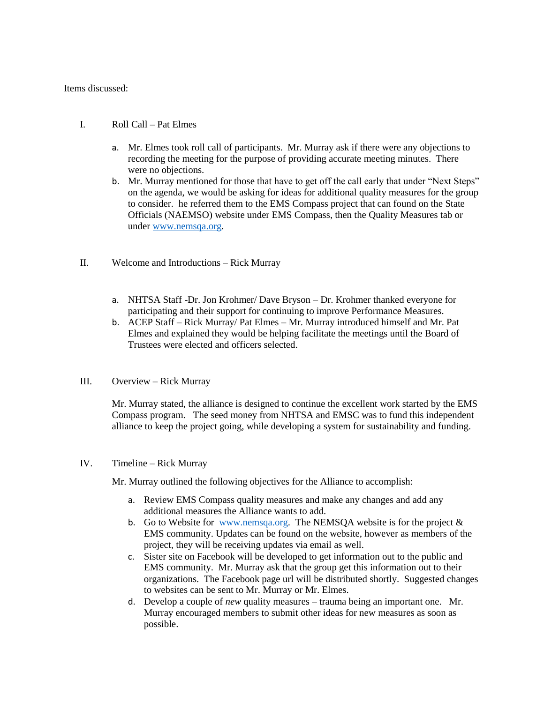Items discussed:

- I. Roll Call Pat Elmes
	- a. Mr. Elmes took roll call of participants. Mr. Murray ask if there were any objections to recording the meeting for the purpose of providing accurate meeting minutes. There were no objections.
	- b. Mr. Murray mentioned for those that have to get off the call early that under "Next Steps" on the agenda, we would be asking for ideas for additional quality measures for the group to consider. he referred them to the EMS Compass project that can found on the State Officials (NAEMSO) website under EMS Compass, then the Quality Measures tab or under [www.nemsqa.org.](http://www.nemsqa.org/)
- II. Welcome and Introductions Rick Murray
	- a. NHTSA Staff -Dr. Jon Krohmer/ Dave Bryson Dr. Krohmer thanked everyone for participating and their support for continuing to improve Performance Measures.
	- b. ACEP Staff Rick Murray/ Pat Elmes Mr. Murray introduced himself and Mr. Pat Elmes and explained they would be helping facilitate the meetings until the Board of Trustees were elected and officers selected.
- III. Overview Rick Murray

Mr. Murray stated, the alliance is designed to continue the excellent work started by the EMS Compass program. The seed money from NHTSA and EMSC was to fund this independent alliance to keep the project going, while developing a system for sustainability and funding.

#### IV. Timeline – Rick Murray

Mr. Murray outlined the following objectives for the Alliance to accomplish:

- a. Review EMS Compass quality measures and make any changes and add any additional measures the Alliance wants to add.
- b. Go to Website for [www.nemsqa.org.](http://www.nemsqa.org/) The NEMSQA website is for the project  $\&$ EMS community. Updates can be found on the website, however as members of the project, they will be receiving updates via email as well.
- c. Sister site on Facebook will be developed to get information out to the public and EMS community. Mr. Murray ask that the group get this information out to their organizations. The Facebook page url will be distributed shortly. Suggested changes to websites can be sent to Mr. Murray or Mr. Elmes.
- d. Develop a couple of *new* quality measures trauma being an important one. Mr. Murray encouraged members to submit other ideas for new measures as soon as possible.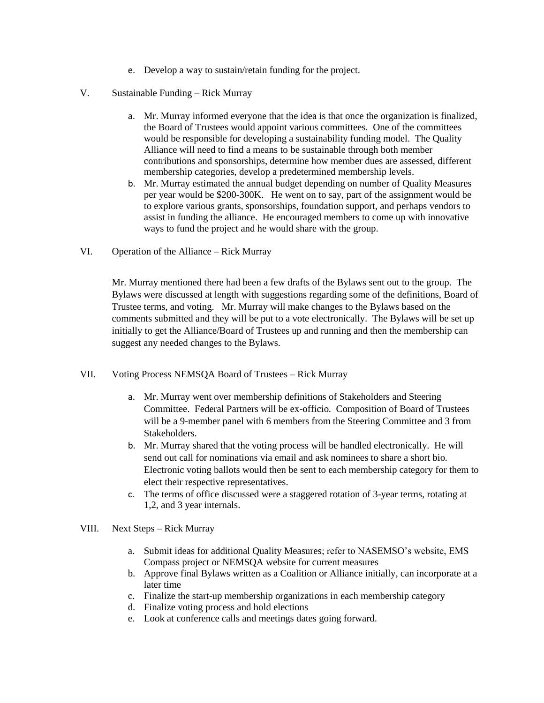- e. Develop a way to sustain/retain funding for the project.
- V. Sustainable Funding Rick Murray
	- a. Mr. Murray informed everyone that the idea is that once the organization is finalized, the Board of Trustees would appoint various committees. One of the committees would be responsible for developing a sustainability funding model. The Quality Alliance will need to find a means to be sustainable through both member contributions and sponsorships, determine how member dues are assessed, different membership categories, develop a predetermined membership levels.
	- b. Mr. Murray estimated the annual budget depending on number of Quality Measures per year would be \$200-300K. He went on to say, part of the assignment would be to explore various grants, sponsorships, foundation support, and perhaps vendors to assist in funding the alliance. He encouraged members to come up with innovative ways to fund the project and he would share with the group.
- VI. Operation of the Alliance Rick Murray

Mr. Murray mentioned there had been a few drafts of the Bylaws sent out to the group. The Bylaws were discussed at length with suggestions regarding some of the definitions, Board of Trustee terms, and voting. Mr. Murray will make changes to the Bylaws based on the comments submitted and they will be put to a vote electronically. The Bylaws will be set up initially to get the Alliance/Board of Trustees up and running and then the membership can suggest any needed changes to the Bylaws.

- VII. Voting Process NEMSQA Board of Trustees Rick Murray
	- a. Mr. Murray went over membership definitions of Stakeholders and Steering Committee. Federal Partners will be ex-officio. Composition of Board of Trustees will be a 9-member panel with 6 members from the Steering Committee and 3 from Stakeholders.
	- b. Mr. Murray shared that the voting process will be handled electronically. He will send out call for nominations via email and ask nominees to share a short bio. Electronic voting ballots would then be sent to each membership category for them to elect their respective representatives.
	- c. The terms of office discussed were a staggered rotation of 3-year terms, rotating at 1,2, and 3 year internals.
- VIII. Next Steps Rick Murray
	- a. Submit ideas for additional Quality Measures; refer to NASEMSO's website, EMS Compass project or NEMSQA website for current measures
	- b. Approve final Bylaws written as a Coalition or Alliance initially, can incorporate at a later time
	- c. Finalize the start-up membership organizations in each membership category
	- d. Finalize voting process and hold elections
	- e. Look at conference calls and meetings dates going forward.